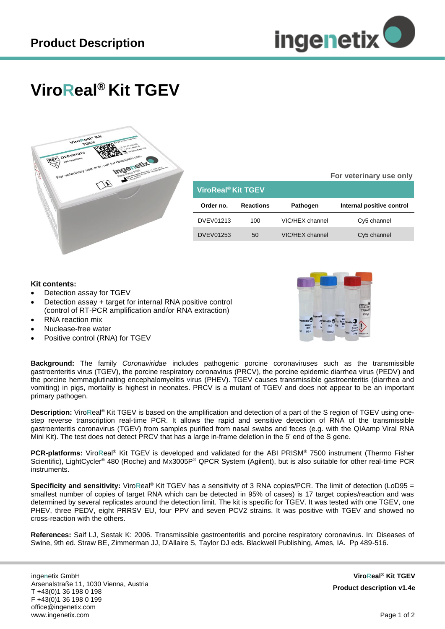

**For veterinary use only**

## **ViroReal® Kit TGEV**



| ViroReal <sup>®</sup> Kit TGEV |                  |                 |                           |
|--------------------------------|------------------|-----------------|---------------------------|
| Order no.                      | <b>Reactions</b> | <b>Pathogen</b> | Internal positive control |
| <b>DVEV01213</b>               | 100              | VIC/HEX channel | Cy5 channel               |
| <b>DVEV01253</b>               | 50               | VIC/HEX channel | Cy5 channel               |

## **Kit contents:**

- Detection assay for TGEV
- Detection assay + target for internal RNA positive control (control of RT-PCR amplification and/or RNA extraction)
- RNA reaction mix
- Nuclease-free water
- Positive control (RNA) for TGEV



**Background:** The family *Coronaviridae* includes pathogenic porcine coronaviruses such as the transmissible gastroenteritis virus (TGEV), the porcine respiratory coronavirus (PRCV), the porcine epidemic diarrhea virus (PEDV) and the porcine hemmaglutinating encephalomyelitis virus (PHEV). TGEV causes transmissible gastroenteritis (diarrhea and vomiting) in pigs, mortality is highest in neonates. PRCV is a mutant of TGEV and does not appear to be an important primary pathogen.

**Description:** Viro**R**eal® Kit TGEV is based on the amplification and detection of a part of the S region of TGEV using onestep reverse transcription real-time PCR. It allows the rapid and sensitive detection of RNA of the transmissible gastroenteritis coronavirus (TGEV) from samples purified from nasal swabs and feces (e.g. with the QIAamp Viral RNA Mini Kit). The test does not detect PRCV that has a large in-frame deletion in the 5' end of the S gene.

**PCR-platforms:** Viro**R**eal® Kit TGEV is developed and validated for the ABI PRISM® 7500 instrument (Thermo Fisher Scientific), LightCycler<sup>®</sup> 480 (Roche) and Mx3005P® QPCR System (Agilent), but is also suitable for other real-time PCR instruments.

**Specificity and sensitivity:** ViroReal<sup>®</sup> Kit TGEV has a sensitivity of 3 RNA copies/PCR. The limit of detection (LoD95 = smallest number of copies of target RNA which can be detected in 95% of cases) is 17 target copies/reaction and was determined by several replicates around the detection limit. The kit is specific for TGEV. It was tested with one TGEV, one PHEV, three PEDV, eight PRRSV EU, four PPV and seven PCV2 strains. It was positive with TGEV and showed no cross-reaction with the others.

**References:** Saif LJ, Sestak K: 2006. Transmissible gastroenteritis and porcine respiratory coronavirus. In: Diseases of Swine, 9th ed. Straw BE, Zimmerman JJ, D'Allaire S, Taylor DJ eds. Blackwell Publishing, Ames, IA. Pp 489-516.

inge**n**etix GmbH Arsenalstraße 11, 1030 Vienna, Austria T +43(0)1 36 198 0 198 F +43(0)1 36 198 0 199 office@ingenetix.com www.ingenetix.com

**ViroReal® Kit TGEV Product description v1.4e**